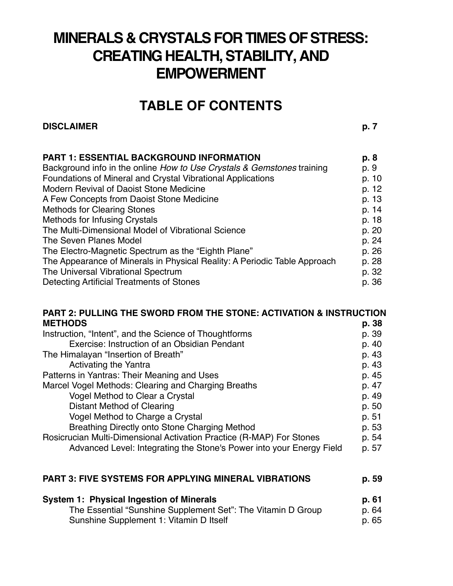# **MINERALS & CRYSTALS FOR TIMES OF STRESS: CREATING HEALTH, STABILITY, AND EMPOWERMENT**

### **TABLE OF CONTENTS**

#### **DISCLAIMER p. 7**

| <b>PART 1: ESSENTIAL BACKGROUND INFORMATION</b>                           | p. 8  |
|---------------------------------------------------------------------------|-------|
| Background info in the online How to Use Crystals & Gemstones training    | p. 9  |
| Foundations of Mineral and Crystal Vibrational Applications               | p. 10 |
| Modern Revival of Daoist Stone Medicine                                   | p. 12 |
| A Few Concepts from Daoist Stone Medicine                                 | p. 13 |
| <b>Methods for Clearing Stones</b>                                        | p. 14 |
| <b>Methods for Infusing Crystals</b>                                      | p. 18 |
| The Multi-Dimensional Model of Vibrational Science                        | p. 20 |
| The Seven Planes Model                                                    | p. 24 |
| The Electro-Magnetic Spectrum as the "Eighth Plane"                       | p. 26 |
| The Appearance of Minerals in Physical Reality: A Periodic Table Approach | p. 28 |
| The Universal Vibrational Spectrum                                        | p. 32 |
| Detecting Artificial Treatments of Stones                                 | p. 36 |

### **PART 2: PULLING THE SWORD FROM THE STONE: ACTIVATION & INSTRUCTION**

| <b>METHODS</b>                                                       | p. 38 |
|----------------------------------------------------------------------|-------|
| Instruction, "Intent", and the Science of Thoughtforms               | p. 39 |
| Exercise: Instruction of an Obsidian Pendant                         | p. 40 |
| The Himalayan "Insertion of Breath"                                  | p. 43 |
| <b>Activating the Yantra</b>                                         | p. 43 |
| Patterns in Yantras: Their Meaning and Uses                          | p. 45 |
| Marcel Vogel Methods: Clearing and Charging Breaths                  | p. 47 |
| Vogel Method to Clear a Crystal                                      | p. 49 |
| Distant Method of Clearing                                           | p. 50 |
| Vogel Method to Charge a Crystal                                     | p. 51 |
| Breathing Directly onto Stone Charging Method                        | p. 53 |
| Rosicrucian Multi-Dimensional Activation Practice (R-MAP) For Stones |       |
| Advanced Level: Integrating the Stone's Power into your Energy Field | p. 57 |

#### **PART 3: FIVE SYSTEMS FOR APPLYING MINERAL VIBRATIONS p. 59**

| <b>System 1: Physical Ingestion of Minerals</b>              | p. 61 |
|--------------------------------------------------------------|-------|
| The Essential "Sunshine Supplement Set": The Vitamin D Group | p. 64 |
| Sunshine Supplement 1: Vitamin D Itself                      | p. 65 |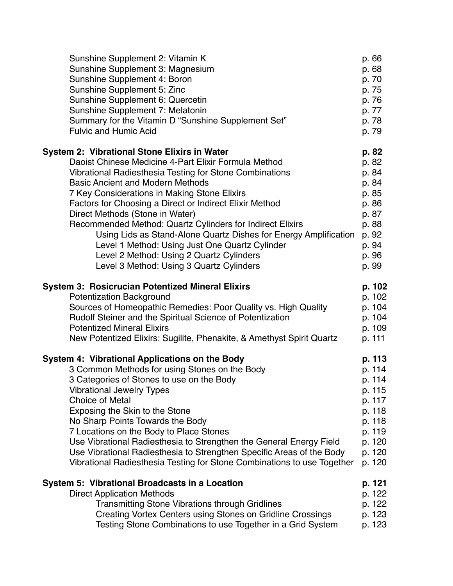| Sunshine Supplement 2: Vitamin K                                        | p. 66  |
|-------------------------------------------------------------------------|--------|
| Sunshine Supplement 3: Magnesium                                        | p. 68  |
| Sunshine Supplement 4: Boron                                            | p. 70  |
| Sunshine Supplement 5: Zinc                                             | p. 75  |
| Sunshine Supplement 6: Quercetin                                        | p. 76  |
| Sunshine Supplement 7: Melatonin                                        | p. 77  |
| Summary for the Vitamin D "Sunshine Supplement Set"                     | p. 78  |
| <b>Fulvic and Humic Acid</b>                                            | p. 79  |
| <b>System 2: Vibrational Stone Elixirs in Water</b>                     |        |
| Daoist Chinese Medicine 4-Part Elixir Formula Method                    | p. 82  |
| Vibrational Radiesthesia Testing for Stone Combinations                 | p. 84  |
| <b>Basic Ancient and Modern Methods</b>                                 | p. 84  |
| 7 Key Considerations in Making Stone Elixirs                            | p. 85  |
| Factors for Choosing a Direct or Indirect Elixir Method                 | p. 86  |
| Direct Methods (Stone in Water)                                         | p. 87  |
| Recommended Method: Quartz Cylinders for Indirect Elixirs               | p. 88  |
| Using Lids as Stand-Alone Quartz Dishes for Energy Amplification        | p. 92  |
| Level 1 Method: Using Just One Quartz Cylinder                          | p. 94  |
| Level 2 Method: Using 2 Quartz Cylinders                                | p. 96  |
| Level 3 Method: Using 3 Quartz Cylinders                                | p. 99  |
| <b>System 3: Rosicrucian Potentized Mineral Elixirs</b>                 | p. 102 |
| <b>Potentization Background</b>                                         | p. 102 |
| Sources of Homeopathic Remedies: Poor Quality vs. High Quality          | p. 104 |
| Rudolf Steiner and the Spiritual Science of Potentization               | p. 104 |
| <b>Potentized Mineral Elixirs</b>                                       | p. 109 |
| New Potentized Elixirs: Sugilite, Phenakite, & Amethyst Spirit Quartz   | p. 111 |
| System 4: Vibrational Applications on the Body                          | p. 113 |
| 3 Common Methods for using Stones on the Body                           | p. 114 |
| 3 Categories of Stones to use on the Body                               | p. 114 |
| <b>Vibrational Jewelry Types</b>                                        | p. 115 |
| <b>Choice of Metal</b>                                                  | p. 117 |
| Exposing the Skin to the Stone                                          | p. 118 |
| No Sharp Points Towards the Body                                        | p. 118 |
| 7 Locations on the Body to Place Stones                                 | p. 119 |
| Use Vibrational Radiesthesia to Strengthen the General Energy Field     | p. 120 |
| Use Vibrational Radiesthesia to Strengthen Specific Areas of the Body   | p. 120 |
| Vibrational Radiesthesia Testing for Stone Combinations to use Together | p. 120 |
| System 5: Vibrational Broadcasts in a Location                          | p. 121 |
| <b>Direct Application Methods</b>                                       | p. 122 |
| <b>Transmitting Stone Vibrations through Gridlines</b>                  | p. 122 |
| <b>Creating Vortex Centers using Stones on Gridline Crossings</b>       | p. 123 |
| Testing Stone Combinations to use Together in a Grid System             | p. 123 |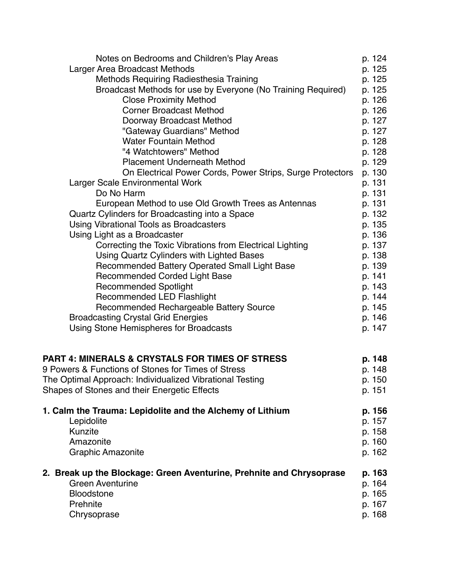| Notes on Bedrooms and Children's Play Areas                          | p. 124 |
|----------------------------------------------------------------------|--------|
| Larger Area Broadcast Methods                                        | p. 125 |
| Methods Requiring Radiesthesia Training                              | p. 125 |
| Broadcast Methods for use by Everyone (No Training Required)         | p. 125 |
| <b>Close Proximity Method</b>                                        | p. 126 |
| <b>Corner Broadcast Method</b>                                       | p. 126 |
| Doorway Broadcast Method                                             | p. 127 |
| "Gateway Guardians" Method                                           | p. 127 |
| <b>Water Fountain Method</b>                                         | p. 128 |
| "4 Watchtowers" Method                                               | p. 128 |
| <b>Placement Underneath Method</b>                                   | p. 129 |
| On Electrical Power Cords, Power Strips, Surge Protectors            | p. 130 |
| Larger Scale Environmental Work                                      | p. 131 |
| Do No Harm                                                           | p. 131 |
| European Method to use Old Growth Trees as Antennas                  | p. 131 |
| Quartz Cylinders for Broadcasting into a Space                       | p. 132 |
| Using Vibrational Tools as Broadcasters                              | p. 135 |
| Using Light as a Broadcaster                                         | p. 136 |
| Correcting the Toxic Vibrations from Electrical Lighting             | p. 137 |
| Using Quartz Cylinders with Lighted Bases                            | p. 138 |
| Recommended Battery Operated Small Light Base                        | p. 139 |
| <b>Recommended Corded Light Base</b>                                 | p. 141 |
| <b>Recommended Spotlight</b>                                         | p. 143 |
| <b>Recommended LED Flashlight</b>                                    | p. 144 |
| Recommended Rechargeable Battery Source                              | p. 145 |
| <b>Broadcasting Crystal Grid Energies</b>                            | p. 146 |
| Using Stone Hemispheres for Broadcasts                               | p. 147 |
|                                                                      |        |
| <b>PART 4: MINERALS &amp; CRYSTALS FOR TIMES OF STRESS</b>           | p. 148 |
| 9 Powers & Functions of Stones for Times of Stress                   | p. 148 |
| The Optimal Approach: Individualized Vibrational Testing             | p. 150 |
| Shapes of Stones and their Energetic Effects                         | p. 151 |
|                                                                      |        |
| 1. Calm the Trauma: Lepidolite and the Alchemy of Lithium            | p. 156 |
| Lepidolite                                                           | p. 157 |
| Kunzite                                                              | p. 158 |
| Amazonite                                                            | p. 160 |
| <b>Graphic Amazonite</b>                                             | p. 162 |
| 2. Break up the Blockage: Green Aventurine, Prehnite and Chrysoprase | p. 163 |
| <b>Green Aventurine</b>                                              | p. 164 |
| <b>Bloodstone</b>                                                    | p. 165 |
| Prehnite                                                             | p. 167 |
| Chrysoprase                                                          | p. 168 |
|                                                                      |        |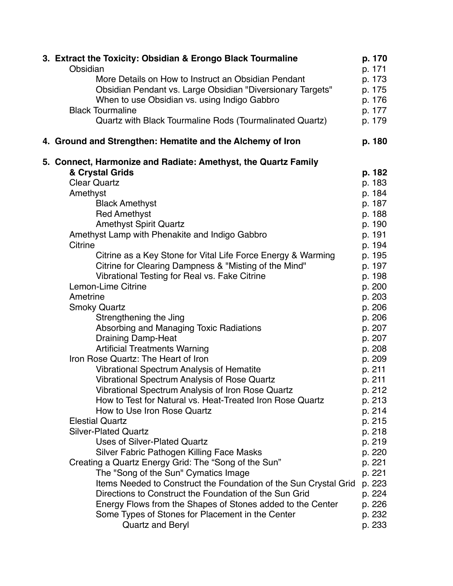| 3. Extract the Toxicity: Obsidian & Erongo Black Tourmaline      | p. 170 |
|------------------------------------------------------------------|--------|
| Obsidian                                                         | p. 171 |
| More Details on How to Instruct an Obsidian Pendant              | p. 173 |
| Obsidian Pendant vs. Large Obsidian "Diversionary Targets"       | p. 175 |
| When to use Obsidian vs. using Indigo Gabbro                     | p. 176 |
| <b>Black Tourmaline</b>                                          | p. 177 |
| Quartz with Black Tourmaline Rods (Tourmalinated Quartz)         | p. 179 |
| 4. Ground and Strengthen: Hematite and the Alchemy of Iron       | p. 180 |
| 5. Connect, Harmonize and Radiate: Amethyst, the Quartz Family   |        |
| & Crystal Grids                                                  | p. 182 |
| <b>Clear Quartz</b>                                              | p. 183 |
| Amethyst                                                         | p. 184 |
| <b>Black Amethyst</b>                                            | p. 187 |
| <b>Red Amethyst</b>                                              | p. 188 |
| <b>Amethyst Spirit Quartz</b>                                    | p. 190 |
| Amethyst Lamp with Phenakite and Indigo Gabbro                   | p. 191 |
| Citrine                                                          | p. 194 |
| Citrine as a Key Stone for Vital Life Force Energy & Warming     | p. 195 |
| Citrine for Clearing Dampness & "Misting of the Mind"            | p. 197 |
| Vibrational Testing for Real vs. Fake Citrine                    | p. 198 |
| Lemon-Lime Citrine                                               | p. 200 |
| Ametrine                                                         | p. 203 |
| <b>Smoky Quartz</b>                                              | p. 206 |
| Strengthening the Jing                                           | p. 206 |
| Absorbing and Managing Toxic Radiations                          | p. 207 |
| <b>Draining Damp-Heat</b>                                        | p. 207 |
| <b>Artificial Treatments Warning</b>                             | p. 208 |
| Iron Rose Quartz: The Heart of Iron                              | p. 209 |
| <b>Vibrational Spectrum Analysis of Hematite</b>                 | p. 211 |
| Vibrational Spectrum Analysis of Rose Quartz                     | p. 211 |
| Vibrational Spectrum Analysis of Iron Rose Quartz                | p. 212 |
| How to Test for Natural vs. Heat-Treated Iron Rose Quartz        | p. 213 |
| How to Use Iron Rose Quartz                                      | p. 214 |
| <b>Elestial Quartz</b>                                           | p. 215 |
| <b>Silver-Plated Quartz</b>                                      | p. 218 |
| <b>Uses of Silver-Plated Quartz</b>                              | p. 219 |
| Silver Fabric Pathogen Killing Face Masks                        | p. 220 |
| Creating a Quartz Energy Grid: The "Song of the Sun"             | p. 221 |
| The "Song of the Sun" Cymatics Image                             | p. 221 |
| Items Needed to Construct the Foundation of the Sun Crystal Grid | p. 223 |
| Directions to Construct the Foundation of the Sun Grid           | p. 224 |
| Energy Flows from the Shapes of Stones added to the Center       | p. 226 |
| Some Types of Stones for Placement in the Center                 | p. 232 |
| <b>Quartz and Beryl</b>                                          | p. 233 |